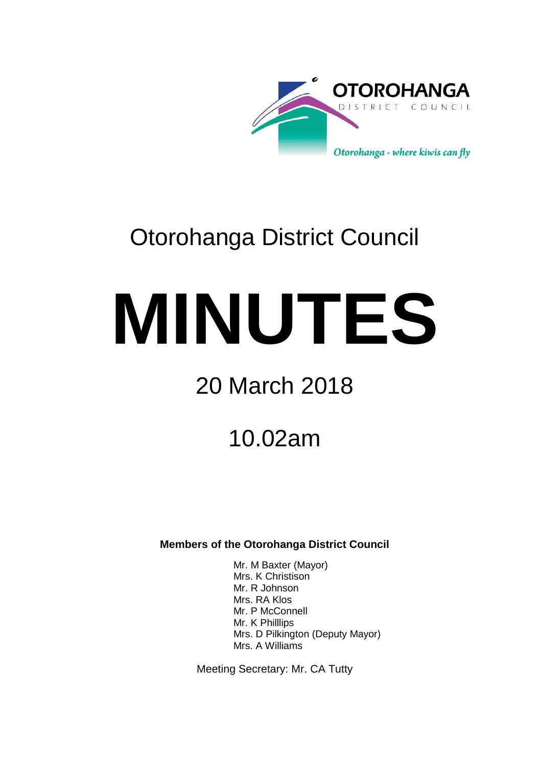

# Otorohanga District Council

# **MINUTES**

# 20 March 2018

10.02am

**Members of the Otorohanga District Council**

Mr. M Baxter (Mayor) Mrs. K Christison Mr. R Johnson Mrs. RA Klos Mr. P McConnell Mr. K Philllips Mrs. D Pilkington (Deputy Mayor) Mrs. A Williams

Meeting Secretary: Mr. CA Tutty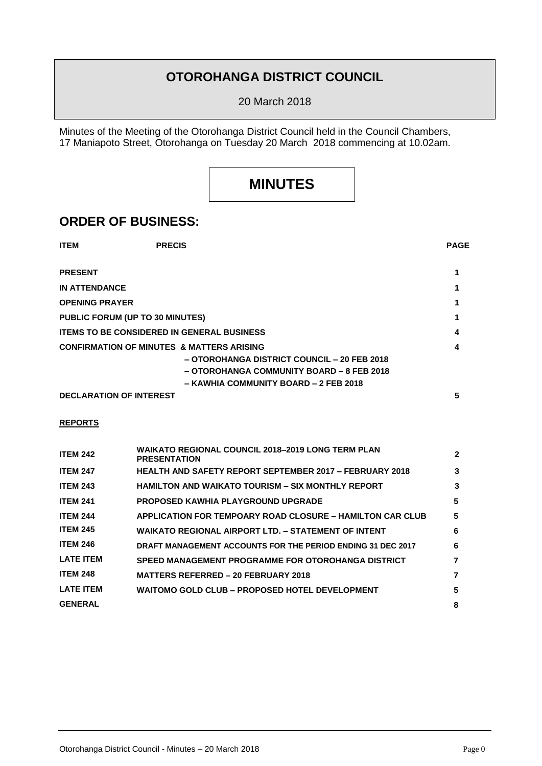## **OTOROHANGA DISTRICT COUNCIL**

20 March 2018

Minutes of the Meeting of the Otorohanga District Council held in the Council Chambers, 17 Maniapoto Street, Otorohanga on Tuesday 20 March 2018 commencing at 10.02am.

# **MINUTES**

### **ORDER OF BUSINESS:**

| <b>ITEM</b>                                       | <b>PRECIS</b>                                        |                                                                                                                                   | <b>PAGE</b> |
|---------------------------------------------------|------------------------------------------------------|-----------------------------------------------------------------------------------------------------------------------------------|-------------|
| <b>PRESENT</b>                                    |                                                      |                                                                                                                                   | 1           |
| <b>IN ATTENDANCE</b>                              |                                                      |                                                                                                                                   |             |
| <b>OPENING PRAYER</b>                             |                                                      |                                                                                                                                   |             |
| <b>PUBLIC FORUM (UP TO 30 MINUTES)</b>            |                                                      |                                                                                                                                   |             |
| <b>ITEMS TO BE CONSIDERED IN GENERAL BUSINESS</b> |                                                      |                                                                                                                                   | 4           |
|                                                   | <b>CONFIRMATION OF MINUTES &amp; MATTERS ARISING</b> | - OTOROHANGA DISTRICT COUNCIL - 20 FEB 2018<br>- OTOROHANGA COMMUNITY BOARD - 8 FEB 2018<br>- KAWHIA COMMUNITY BOARD - 2 FEB 2018 |             |
| <b>DECLARATION OF INTEREST</b>                    |                                                      |                                                                                                                                   |             |

## **REPORTS**

| <b>ITEM 242</b>  | <b>WAIKATO REGIONAL COUNCIL 2018-2019 LONG TERM PLAN</b><br><b>PRESENTATION</b> | $\mathbf{2}$ |
|------------------|---------------------------------------------------------------------------------|--------------|
| <b>ITEM 247</b>  | <b>HEALTH AND SAFETY REPORT SEPTEMBER 2017 - FEBRUARY 2018</b>                  | 3            |
| <b>ITEM 243</b>  | <b>HAMILTON AND WAIKATO TOURISM – SIX MONTHLY REPORT</b>                        | 3            |
| <b>ITEM 241</b>  | <b>PROPOSED KAWHIA PLAYGROUND UPGRADE</b>                                       | 5            |
| <b>ITEM 244</b>  | <b>APPLICATION FOR TEMPOARY ROAD CLOSURE – HAMILTON CAR CLUB</b>                | 5            |
| <b>ITEM 245</b>  | <b>WAIKATO REGIONAL AIRPORT LTD. - STATEMENT OF INTENT</b>                      | 6            |
| <b>ITEM 246</b>  | <b>DRAFT MANAGEMENT ACCOUNTS FOR THE PERIOD ENDING 31 DEC 2017</b>              | 6            |
| <b>LATE ITEM</b> | SPEED MANAGEMENT PROGRAMME FOR OTOROHANGA DISTRICT                              | 7            |
| <b>ITEM 248</b>  | <b>MATTERS REFERRED - 20 FEBRUARY 2018</b>                                      | 7            |
| <b>LATE ITEM</b> | <b>WAITOMO GOLD CLUB - PROPOSED HOTEL DEVELOPMENT</b>                           | 5            |
| <b>GENERAL</b>   |                                                                                 | 8            |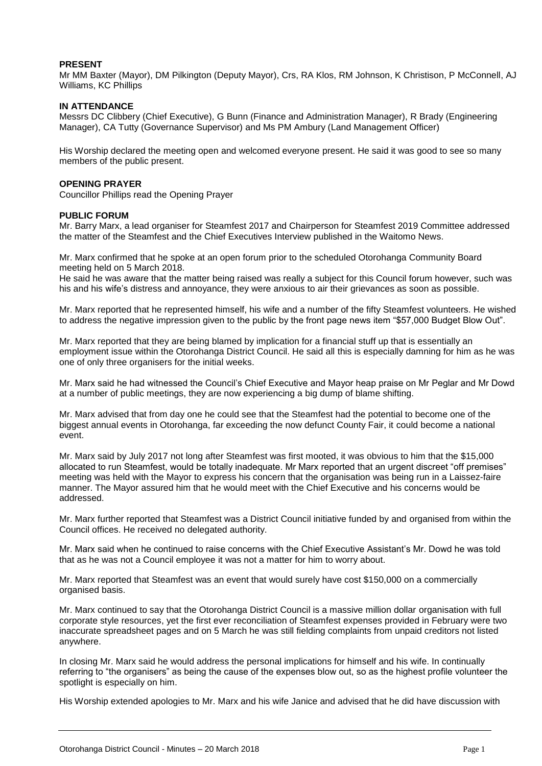#### **PRESENT**

Mr MM Baxter (Mayor), DM Pilkington (Deputy Mayor), Crs, RA Klos, RM Johnson, K Christison, P McConnell, AJ Williams, KC Phillips

#### **IN ATTENDANCE**

Messrs DC Clibbery (Chief Executive), G Bunn (Finance and Administration Manager), R Brady (Engineering Manager), CA Tutty (Governance Supervisor) and Ms PM Ambury (Land Management Officer)

His Worship declared the meeting open and welcomed everyone present. He said it was good to see so many members of the public present.

#### **OPENING PRAYER**

Councillor Phillips read the Opening Prayer

#### **PUBLIC FORUM**

Mr. Barry Marx, a lead organiser for Steamfest 2017 and Chairperson for Steamfest 2019 Committee addressed the matter of the Steamfest and the Chief Executives Interview published in the Waitomo News.

Mr. Marx confirmed that he spoke at an open forum prior to the scheduled Otorohanga Community Board meeting held on 5 March 2018.

He said he was aware that the matter being raised was really a subject for this Council forum however, such was his and his wife's distress and annoyance, they were anxious to air their grievances as soon as possible.

Mr. Marx reported that he represented himself, his wife and a number of the fifty Steamfest volunteers. He wished to address the negative impression given to the public by the front page news item "\$57,000 Budget Blow Out".

Mr. Marx reported that they are being blamed by implication for a financial stuff up that is essentially an employment issue within the Otorohanga District Council. He said all this is especially damning for him as he was one of only three organisers for the initial weeks.

Mr. Marx said he had witnessed the Council's Chief Executive and Mayor heap praise on Mr Peglar and Mr Dowd at a number of public meetings, they are now experiencing a big dump of blame shifting.

Mr. Marx advised that from day one he could see that the Steamfest had the potential to become one of the biggest annual events in Otorohanga, far exceeding the now defunct County Fair, it could become a national event.

Mr. Marx said by July 2017 not long after Steamfest was first mooted, it was obvious to him that the \$15,000 allocated to run Steamfest, would be totally inadequate. Mr Marx reported that an urgent discreet "off premises" meeting was held with the Mayor to express his concern that the organisation was being run in a Laissez-faire manner. The Mayor assured him that he would meet with the Chief Executive and his concerns would be addressed.

Mr. Marx further reported that Steamfest was a District Council initiative funded by and organised from within the Council offices. He received no delegated authority.

Mr. Marx said when he continued to raise concerns with the Chief Executive Assistant's Mr. Dowd he was told that as he was not a Council employee it was not a matter for him to worry about.

Mr. Marx reported that Steamfest was an event that would surely have cost \$150,000 on a commercially organised basis.

Mr. Marx continued to say that the Otorohanga District Council is a massive million dollar organisation with full corporate style resources, yet the first ever reconciliation of Steamfest expenses provided in February were two inaccurate spreadsheet pages and on 5 March he was still fielding complaints from unpaid creditors not listed anywhere.

In closing Mr. Marx said he would address the personal implications for himself and his wife. In continually referring to "the organisers" as being the cause of the expenses blow out, so as the highest profile volunteer the spotlight is especially on him.

His Worship extended apologies to Mr. Marx and his wife Janice and advised that he did have discussion with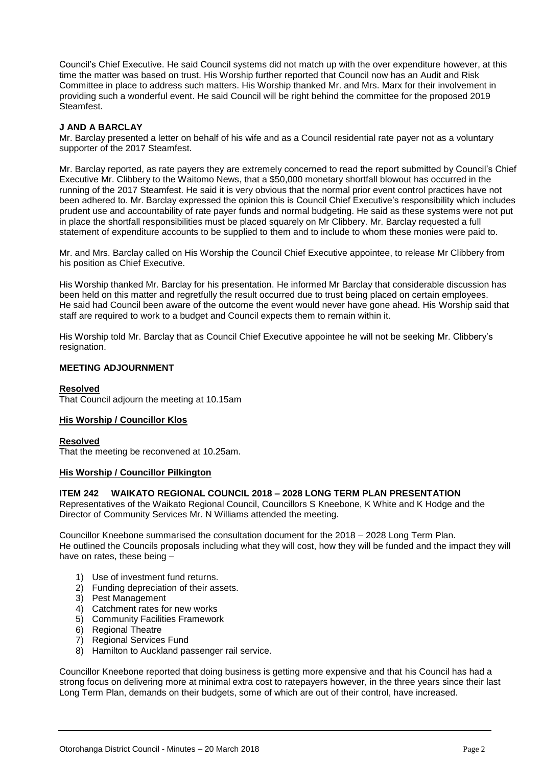Council's Chief Executive. He said Council systems did not match up with the over expenditure however, at this time the matter was based on trust. His Worship further reported that Council now has an Audit and Risk Committee in place to address such matters. His Worship thanked Mr. and Mrs. Marx for their involvement in providing such a wonderful event. He said Council will be right behind the committee for the proposed 2019 Steamfest.

#### **J AND A BARCLAY**

Mr. Barclay presented a letter on behalf of his wife and as a Council residential rate payer not as a voluntary supporter of the 2017 Steamfest.

Mr. Barclay reported, as rate payers they are extremely concerned to read the report submitted by Council's Chief Executive Mr. Clibbery to the Waitomo News, that a \$50,000 monetary shortfall blowout has occurred in the running of the 2017 Steamfest. He said it is very obvious that the normal prior event control practices have not been adhered to. Mr. Barclay expressed the opinion this is Council Chief Executive's responsibility which includes prudent use and accountability of rate payer funds and normal budgeting. He said as these systems were not put in place the shortfall responsibilities must be placed squarely on Mr Clibbery. Mr. Barclay requested a full statement of expenditure accounts to be supplied to them and to include to whom these monies were paid to.

Mr. and Mrs. Barclay called on His Worship the Council Chief Executive appointee, to release Mr Clibbery from his position as Chief Executive.

His Worship thanked Mr. Barclay for his presentation. He informed Mr Barclay that considerable discussion has been held on this matter and regretfully the result occurred due to trust being placed on certain employees. He said had Council been aware of the outcome the event would never have gone ahead. His Worship said that staff are required to work to a budget and Council expects them to remain within it.

His Worship told Mr. Barclay that as Council Chief Executive appointee he will not be seeking Mr. Clibbery's resignation.

#### **MEETING ADJOURNMENT**

#### **Resolved**

That Council adjourn the meeting at 10.15am

#### **His Worship / Councillor Klos**

#### **Resolved**

That the meeting be reconvened at 10.25am.

#### **His Worship / Councillor Pilkington**

#### **ITEM 242 WAIKATO REGIONAL COUNCIL 2018 – 2028 LONG TERM PLAN PRESENTATION**

Representatives of the Waikato Regional Council, Councillors S Kneebone, K White and K Hodge and the Director of Community Services Mr. N Williams attended the meeting.

Councillor Kneebone summarised the consultation document for the 2018 – 2028 Long Term Plan. He outlined the Councils proposals including what they will cost, how they will be funded and the impact they will have on rates, these being –

- 1) Use of investment fund returns.
- 2) Funding depreciation of their assets.
- 3) Pest Management
- 4) Catchment rates for new works
- 5) Community Facilities Framework
- 6) Regional Theatre
- 7) Regional Services Fund
- 8) Hamilton to Auckland passenger rail service.

Councillor Kneebone reported that doing business is getting more expensive and that his Council has had a strong focus on delivering more at minimal extra cost to ratepayers however, in the three years since their last Long Term Plan, demands on their budgets, some of which are out of their control, have increased.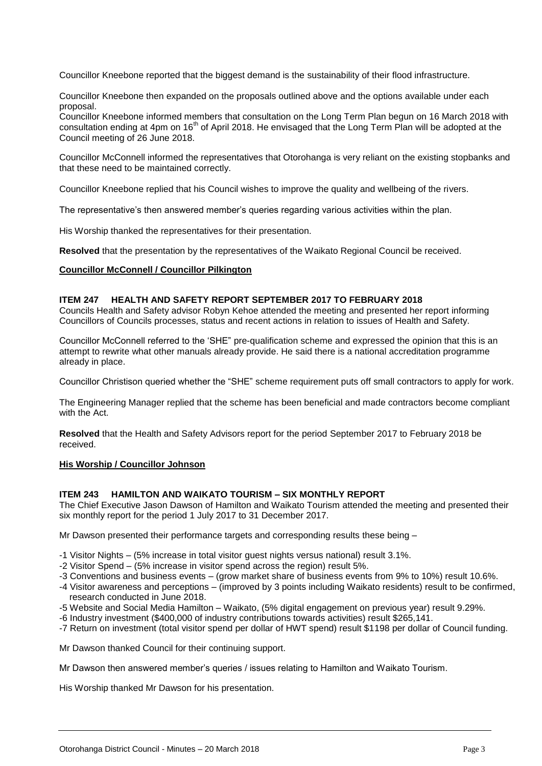Councillor Kneebone reported that the biggest demand is the sustainability of their flood infrastructure.

Councillor Kneebone then expanded on the proposals outlined above and the options available under each proposal.

Councillor Kneebone informed members that consultation on the Long Term Plan begun on 16 March 2018 with consultation ending at 4pm on 16<sup>th</sup> of April 2018. He envisaged that the Long Term Plan will be adopted at the Council meeting of 26 June 2018.

Councillor McConnell informed the representatives that Otorohanga is very reliant on the existing stopbanks and that these need to be maintained correctly.

Councillor Kneebone replied that his Council wishes to improve the quality and wellbeing of the rivers.

The representative's then answered member's queries regarding various activities within the plan.

His Worship thanked the representatives for their presentation.

**Resolved** that the presentation by the representatives of the Waikato Regional Council be received.

#### **Councillor McConnell / Councillor Pilkington**

#### **ITEM 247 HEALTH AND SAFETY REPORT SEPTEMBER 2017 TO FEBRUARY 2018**

Councils Health and Safety advisor Robyn Kehoe attended the meeting and presented her report informing Councillors of Councils processes, status and recent actions in relation to issues of Health and Safety.

Councillor McConnell referred to the 'SHE" pre-qualification scheme and expressed the opinion that this is an attempt to rewrite what other manuals already provide. He said there is a national accreditation programme already in place.

Councillor Christison queried whether the "SHE" scheme requirement puts off small contractors to apply for work.

The Engineering Manager replied that the scheme has been beneficial and made contractors become compliant with the Act.

**Resolved** that the Health and Safety Advisors report for the period September 2017 to February 2018 be received.

#### **His Worship / Councillor Johnson**

#### **ITEM 243 HAMILTON AND WAIKATO TOURISM – SIX MONTHLY REPORT**

The Chief Executive Jason Dawson of Hamilton and Waikato Tourism attended the meeting and presented their six monthly report for the period 1 July 2017 to 31 December 2017.

Mr Dawson presented their performance targets and corresponding results these being –

- -1 Visitor Nights (5% increase in total visitor guest nights versus national) result 3.1%.
- -2 Visitor Spend (5% increase in visitor spend across the region) result 5%.
- -3 Conventions and business events (grow market share of business events from 9% to 10%) result 10.6%.
- -4 Visitor awareness and perceptions (improved by 3 points including Waikato residents) result to be confirmed, research conducted in June 2018.
- -5 Website and Social Media Hamilton Waikato, (5% digital engagement on previous year) result 9.29%.
- -6 Industry investment (\$400,000 of industry contributions towards activities) result \$265,141.
- -7 Return on investment (total visitor spend per dollar of HWT spend) result \$1198 per dollar of Council funding.

Mr Dawson thanked Council for their continuing support.

Mr Dawson then answered member's queries / issues relating to Hamilton and Waikato Tourism.

His Worship thanked Mr Dawson for his presentation.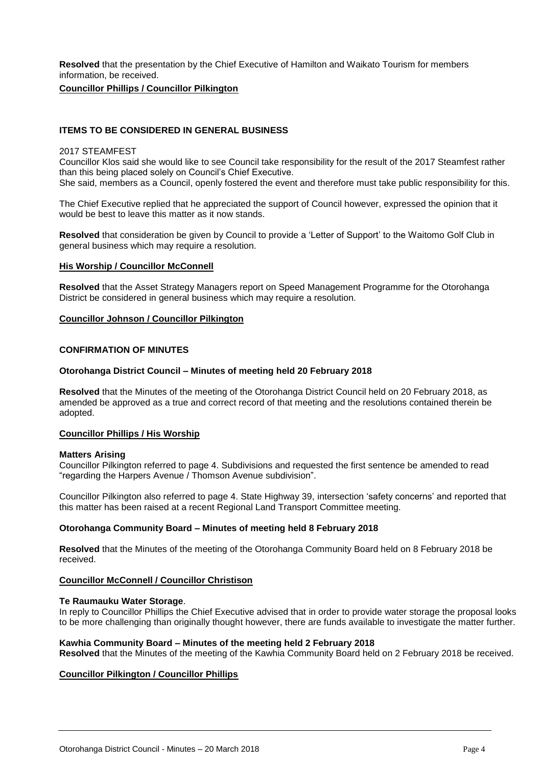**Resolved** that the presentation by the Chief Executive of Hamilton and Waikato Tourism for members information, be received.

#### **Councillor Phillips / Councillor Pilkington**

#### **ITEMS TO BE CONSIDERED IN GENERAL BUSINESS**

#### 2017 STEAMFEST

Councillor Klos said she would like to see Council take responsibility for the result of the 2017 Steamfest rather than this being placed solely on Council's Chief Executive.

She said, members as a Council, openly fostered the event and therefore must take public responsibility for this.

The Chief Executive replied that he appreciated the support of Council however, expressed the opinion that it would be best to leave this matter as it now stands.

**Resolved** that consideration be given by Council to provide a 'Letter of Support' to the Waitomo Golf Club in general business which may require a resolution.

#### **His Worship / Councillor McConnell**

**Resolved** that the Asset Strategy Managers report on Speed Management Programme for the Otorohanga District be considered in general business which may require a resolution.

#### **Councillor Johnson / Councillor Pilkington**

#### **CONFIRMATION OF MINUTES**

#### **Otorohanga District Council – Minutes of meeting held 20 February 2018**

**Resolved** that the Minutes of the meeting of the Otorohanga District Council held on 20 February 2018, as amended be approved as a true and correct record of that meeting and the resolutions contained therein be adopted.

#### **Councillor Phillips / His Worship**

#### **Matters Arising**

Councillor Pilkington referred to page 4. Subdivisions and requested the first sentence be amended to read "regarding the Harpers Avenue / Thomson Avenue subdivision".

Councillor Pilkington also referred to page 4. State Highway 39, intersection 'safety concerns' and reported that this matter has been raised at a recent Regional Land Transport Committee meeting.

#### **Otorohanga Community Board – Minutes of meeting held 8 February 2018**

**Resolved** that the Minutes of the meeting of the Otorohanga Community Board held on 8 February 2018 be received.

#### **Councillor McConnell / Councillor Christison**

#### **Te Raumauku Water Storage**.

In reply to Councillor Phillips the Chief Executive advised that in order to provide water storage the proposal looks to be more challenging than originally thought however, there are funds available to investigate the matter further.

#### **Kawhia Community Board – Minutes of the meeting held 2 February 2018**

**Resolved** that the Minutes of the meeting of the Kawhia Community Board held on 2 February 2018 be received.

#### **Councillor Pilkington / Councillor Phillips**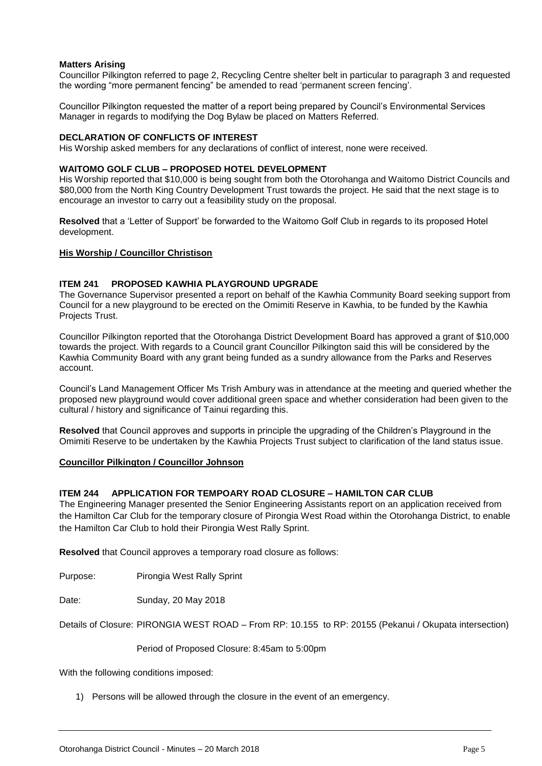#### **Matters Arising**

Councillor Pilkington referred to page 2, Recycling Centre shelter belt in particular to paragraph 3 and requested the wording "more permanent fencing" be amended to read 'permanent screen fencing'.

Councillor Pilkington requested the matter of a report being prepared by Council's Environmental Services Manager in regards to modifying the Dog Bylaw be placed on Matters Referred.

#### **DECLARATION OF CONFLICTS OF INTEREST**

His Worship asked members for any declarations of conflict of interest, none were received.

#### **WAITOMO GOLF CLUB – PROPOSED HOTEL DEVELOPMENT**

His Worship reported that \$10,000 is being sought from both the Otorohanga and Waitomo District Councils and \$80,000 from the North King Country Development Trust towards the project. He said that the next stage is to encourage an investor to carry out a feasibility study on the proposal.

**Resolved** that a 'Letter of Support' be forwarded to the Waitomo Golf Club in regards to its proposed Hotel development.

#### **His Worship / Councillor Christison**

#### **ITEM 241 PROPOSED KAWHIA PLAYGROUND UPGRADE**

The Governance Supervisor presented a report on behalf of the Kawhia Community Board seeking support from Council for a new playground to be erected on the Omimiti Reserve in Kawhia, to be funded by the Kawhia Projects Trust.

Councillor Pilkington reported that the Otorohanga District Development Board has approved a grant of \$10,000 towards the project. With regards to a Council grant Councillor Pilkington said this will be considered by the Kawhia Community Board with any grant being funded as a sundry allowance from the Parks and Reserves account.

Council's Land Management Officer Ms Trish Ambury was in attendance at the meeting and queried whether the proposed new playground would cover additional green space and whether consideration had been given to the cultural / history and significance of Tainui regarding this.

**Resolved** that Council approves and supports in principle the upgrading of the Children's Playground in the Omimiti Reserve to be undertaken by the Kawhia Projects Trust subject to clarification of the land status issue.

#### **Councillor Pilkington / Councillor Johnson**

#### **ITEM 244 APPLICATION FOR TEMPOARY ROAD CLOSURE – HAMILTON CAR CLUB**

The Engineering Manager presented the Senior Engineering Assistants report on an application received from the Hamilton Car Club for the temporary closure of Pirongia West Road within the Otorohanga District, to enable the Hamilton Car Club to hold their Pirongia West Rally Sprint.

**Resolved** that Council approves a temporary road closure as follows:

Purpose: Pirongia West Rally Sprint

Date: Sunday, 20 May 2018

Details of Closure: PIRONGIA WEST ROAD – From RP: 10.155 to RP: 20155 (Pekanui / Okupata intersection)

#### Period of Proposed Closure: 8:45am to 5:00pm

With the following conditions imposed:

1) Persons will be allowed through the closure in the event of an emergency.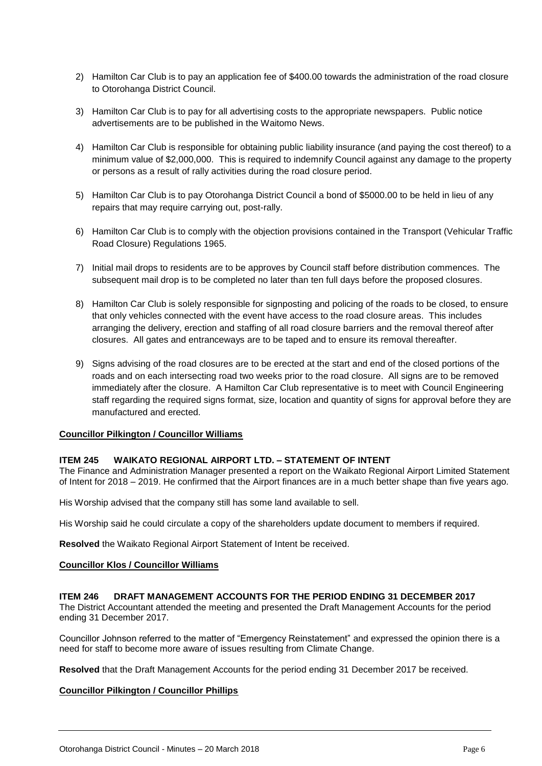- 2) Hamilton Car Club is to pay an application fee of \$400.00 towards the administration of the road closure to Otorohanga District Council.
- 3) Hamilton Car Club is to pay for all advertising costs to the appropriate newspapers. Public notice advertisements are to be published in the Waitomo News.
- 4) Hamilton Car Club is responsible for obtaining public liability insurance (and paying the cost thereof) to a minimum value of \$2,000,000. This is required to indemnify Council against any damage to the property or persons as a result of rally activities during the road closure period.
- 5) Hamilton Car Club is to pay Otorohanga District Council a bond of \$5000.00 to be held in lieu of any repairs that may require carrying out, post-rally.
- 6) Hamilton Car Club is to comply with the objection provisions contained in the Transport (Vehicular Traffic Road Closure) Regulations 1965.
- 7) Initial mail drops to residents are to be approves by Council staff before distribution commences. The subsequent mail drop is to be completed no later than ten full days before the proposed closures.
- 8) Hamilton Car Club is solely responsible for signposting and policing of the roads to be closed, to ensure that only vehicles connected with the event have access to the road closure areas. This includes arranging the delivery, erection and staffing of all road closure barriers and the removal thereof after closures. All gates and entranceways are to be taped and to ensure its removal thereafter.
- 9) Signs advising of the road closures are to be erected at the start and end of the closed portions of the roads and on each intersecting road two weeks prior to the road closure. All signs are to be removed immediately after the closure. A Hamilton Car Club representative is to meet with Council Engineering staff regarding the required signs format, size, location and quantity of signs for approval before they are manufactured and erected.

#### **Councillor Pilkington / Councillor Williams**

#### **ITEM 245 WAIKATO REGIONAL AIRPORT LTD. – STATEMENT OF INTENT**

The Finance and Administration Manager presented a report on the Waikato Regional Airport Limited Statement of Intent for 2018 – 2019. He confirmed that the Airport finances are in a much better shape than five years ago.

His Worship advised that the company still has some land available to sell.

His Worship said he could circulate a copy of the shareholders update document to members if required.

**Resolved** the Waikato Regional Airport Statement of Intent be received.

#### **Councillor Klos / Councillor Williams**

#### **ITEM 246 DRAFT MANAGEMENT ACCOUNTS FOR THE PERIOD ENDING 31 DECEMBER 2017**

The District Accountant attended the meeting and presented the Draft Management Accounts for the period ending 31 December 2017.

Councillor Johnson referred to the matter of "Emergency Reinstatement" and expressed the opinion there is a need for staff to become more aware of issues resulting from Climate Change.

**Resolved** that the Draft Management Accounts for the period ending 31 December 2017 be received.

#### **Councillor Pilkington / Councillor Phillips**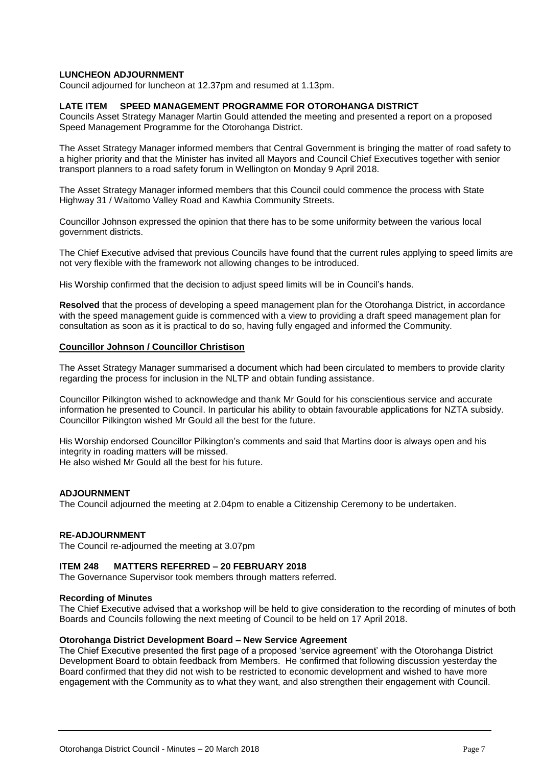#### **LUNCHEON ADJOURNMENT**

Council adjourned for luncheon at 12.37pm and resumed at 1.13pm.

#### **LATE ITEM SPEED MANAGEMENT PROGRAMME FOR OTOROHANGA DISTRICT**

Councils Asset Strategy Manager Martin Gould attended the meeting and presented a report on a proposed Speed Management Programme for the Otorohanga District.

The Asset Strategy Manager informed members that Central Government is bringing the matter of road safety to a higher priority and that the Minister has invited all Mayors and Council Chief Executives together with senior transport planners to a road safety forum in Wellington on Monday 9 April 2018.

The Asset Strategy Manager informed members that this Council could commence the process with State Highway 31 / Waitomo Valley Road and Kawhia Community Streets.

Councillor Johnson expressed the opinion that there has to be some uniformity between the various local government districts.

The Chief Executive advised that previous Councils have found that the current rules applying to speed limits are not very flexible with the framework not allowing changes to be introduced.

His Worship confirmed that the decision to adjust speed limits will be in Council's hands.

**Resolved** that the process of developing a speed management plan for the Otorohanga District, in accordance with the speed management guide is commenced with a view to providing a draft speed management plan for consultation as soon as it is practical to do so, having fully engaged and informed the Community.

#### **Councillor Johnson / Councillor Christison**

The Asset Strategy Manager summarised a document which had been circulated to members to provide clarity regarding the process for inclusion in the NLTP and obtain funding assistance.

Councillor Pilkington wished to acknowledge and thank Mr Gould for his conscientious service and accurate information he presented to Council. In particular his ability to obtain favourable applications for NZTA subsidy. Councillor Pilkington wished Mr Gould all the best for the future.

His Worship endorsed Councillor Pilkington's comments and said that Martins door is always open and his integrity in roading matters will be missed.

He also wished Mr Gould all the best for his future.

#### **ADJOURNMENT**

The Council adjourned the meeting at 2.04pm to enable a Citizenship Ceremony to be undertaken.

#### **RE-ADJOURNMENT**

The Council re-adjourned the meeting at 3.07pm

#### **ITEM 248 MATTERS REFERRED – 20 FEBRUARY 2018**

The Governance Supervisor took members through matters referred.

#### **Recording of Minutes**

The Chief Executive advised that a workshop will be held to give consideration to the recording of minutes of both Boards and Councils following the next meeting of Council to be held on 17 April 2018.

#### **Otorohanga District Development Board – New Service Agreement**

The Chief Executive presented the first page of a proposed 'service agreement' with the Otorohanga District Development Board to obtain feedback from Members. He confirmed that following discussion yesterday the Board confirmed that they did not wish to be restricted to economic development and wished to have more engagement with the Community as to what they want, and also strengthen their engagement with Council.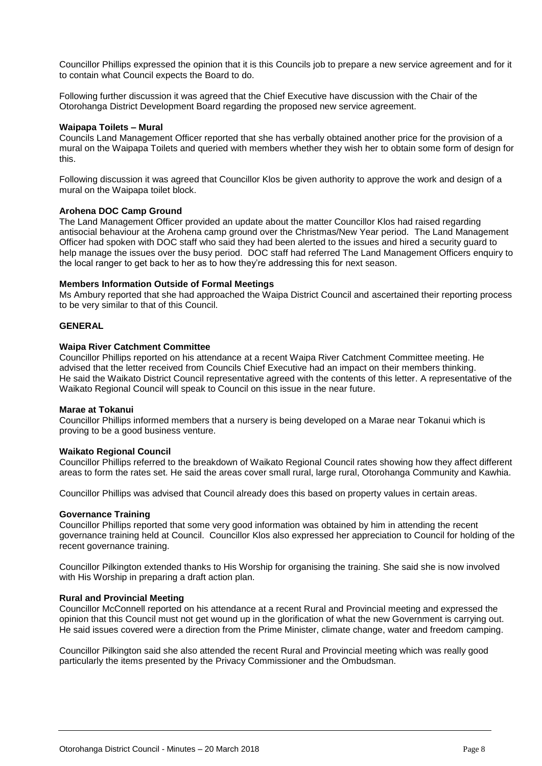Councillor Phillips expressed the opinion that it is this Councils job to prepare a new service agreement and for it to contain what Council expects the Board to do.

Following further discussion it was agreed that the Chief Executive have discussion with the Chair of the Otorohanga District Development Board regarding the proposed new service agreement.

#### **Waipapa Toilets – Mural**

Councils Land Management Officer reported that she has verbally obtained another price for the provision of a mural on the Waipapa Toilets and queried with members whether they wish her to obtain some form of design for this.

Following discussion it was agreed that Councillor Klos be given authority to approve the work and design of a mural on the Waipapa toilet block.

#### **Arohena DOC Camp Ground**

The Land Management Officer provided an update about the matter Councillor Klos had raised regarding antisocial behaviour at the Arohena camp ground over the Christmas/New Year period. The Land Management Officer had spoken with DOC staff who said they had been alerted to the issues and hired a security guard to help manage the issues over the busy period. DOC staff had referred The Land Management Officers enquiry to the local ranger to get back to her as to how they're addressing this for next season.

#### **Members Information Outside of Formal Meetings**

Ms Ambury reported that she had approached the Waipa District Council and ascertained their reporting process to be very similar to that of this Council.

#### **GENERAL**

#### **Waipa River Catchment Committee**

Councillor Phillips reported on his attendance at a recent Waipa River Catchment Committee meeting. He advised that the letter received from Councils Chief Executive had an impact on their members thinking. He said the Waikato District Council representative agreed with the contents of this letter. A representative of the Waikato Regional Council will speak to Council on this issue in the near future.

#### **Marae at Tokanui**

Councillor Phillips informed members that a nursery is being developed on a Marae near Tokanui which is proving to be a good business venture.

#### **Waikato Regional Council**

Councillor Phillips referred to the breakdown of Waikato Regional Council rates showing how they affect different areas to form the rates set. He said the areas cover small rural, large rural, Otorohanga Community and Kawhia.

Councillor Phillips was advised that Council already does this based on property values in certain areas.

#### **Governance Training**

Councillor Phillips reported that some very good information was obtained by him in attending the recent governance training held at Council. Councillor Klos also expressed her appreciation to Council for holding of the recent governance training.

Councillor Pilkington extended thanks to His Worship for organising the training. She said she is now involved with His Worship in preparing a draft action plan.

#### **Rural and Provincial Meeting**

Councillor McConnell reported on his attendance at a recent Rural and Provincial meeting and expressed the opinion that this Council must not get wound up in the glorification of what the new Government is carrying out. He said issues covered were a direction from the Prime Minister, climate change, water and freedom camping.

Councillor Pilkington said she also attended the recent Rural and Provincial meeting which was really good particularly the items presented by the Privacy Commissioner and the Ombudsman.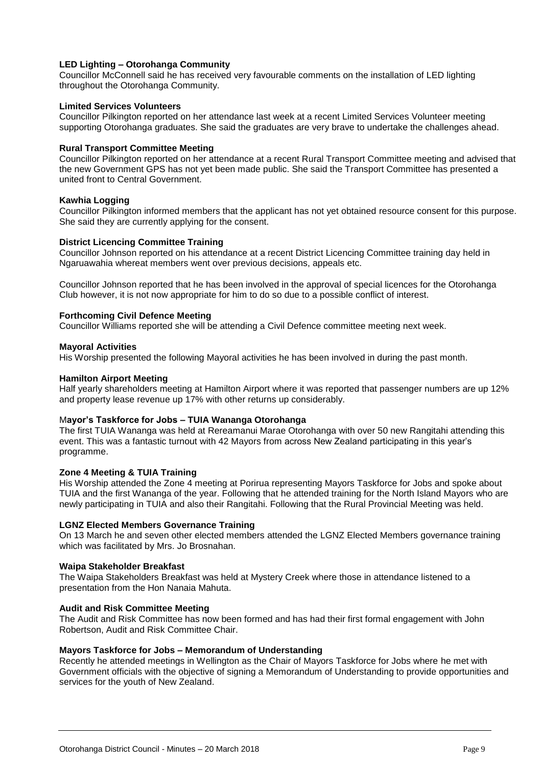#### **LED Lighting – Otorohanga Community**

Councillor McConnell said he has received very favourable comments on the installation of LED lighting throughout the Otorohanga Community.

#### **Limited Services Volunteers**

Councillor Pilkington reported on her attendance last week at a recent Limited Services Volunteer meeting supporting Otorohanga graduates. She said the graduates are very brave to undertake the challenges ahead.

#### **Rural Transport Committee Meeting**

Councillor Pilkington reported on her attendance at a recent Rural Transport Committee meeting and advised that the new Government GPS has not yet been made public. She said the Transport Committee has presented a united front to Central Government.

#### **Kawhia Logging**

Councillor Pilkington informed members that the applicant has not yet obtained resource consent for this purpose. She said they are currently applying for the consent.

#### **District Licencing Committee Training**

Councillor Johnson reported on his attendance at a recent District Licencing Committee training day held in Ngaruawahia whereat members went over previous decisions, appeals etc.

Councillor Johnson reported that he has been involved in the approval of special licences for the Otorohanga Club however, it is not now appropriate for him to do so due to a possible conflict of interest.

#### **Forthcoming Civil Defence Meeting**

Councillor Williams reported she will be attending a Civil Defence committee meeting next week.

#### **Mayoral Activities**

His Worship presented the following Mayoral activities he has been involved in during the past month.

#### **Hamilton Airport Meeting**

Half yearly shareholders meeting at Hamilton Airport where it was reported that passenger numbers are up 12% and property lease revenue up 17% with other returns up considerably.

#### M**ayor's Taskforce for Jobs – TUIA Wananga Otorohanga**

The first TUIA Wananga was held at Rereamanui Marae Otorohanga with over 50 new Rangitahi attending this event. This was a fantastic turnout with 42 Mayors from across New Zealand participating in this year's programme.

#### **Zone 4 Meeting & TUIA Training**

His Worship attended the Zone 4 meeting at Porirua representing Mayors Taskforce for Jobs and spoke about TUIA and the first Wananga of the year. Following that he attended training for the North Island Mayors who are newly participating in TUIA and also their Rangitahi. Following that the Rural Provincial Meeting was held.

#### **LGNZ Elected Members Governance Training**

On 13 March he and seven other elected members attended the LGNZ Elected Members governance training which was facilitated by Mrs. Jo Brosnahan.

#### **Waipa Stakeholder Breakfast**

The Waipa Stakeholders Breakfast was held at Mystery Creek where those in attendance listened to a presentation from the Hon Nanaia Mahuta.

#### **Audit and Risk Committee Meeting**

The Audit and Risk Committee has now been formed and has had their first formal engagement with John Robertson, Audit and Risk Committee Chair.

#### **Mayors Taskforce for Jobs – Memorandum of Understanding**

Recently he attended meetings in Wellington as the Chair of Mayors Taskforce for Jobs where he met with Government officials with the objective of signing a Memorandum of Understanding to provide opportunities and services for the youth of New Zealand.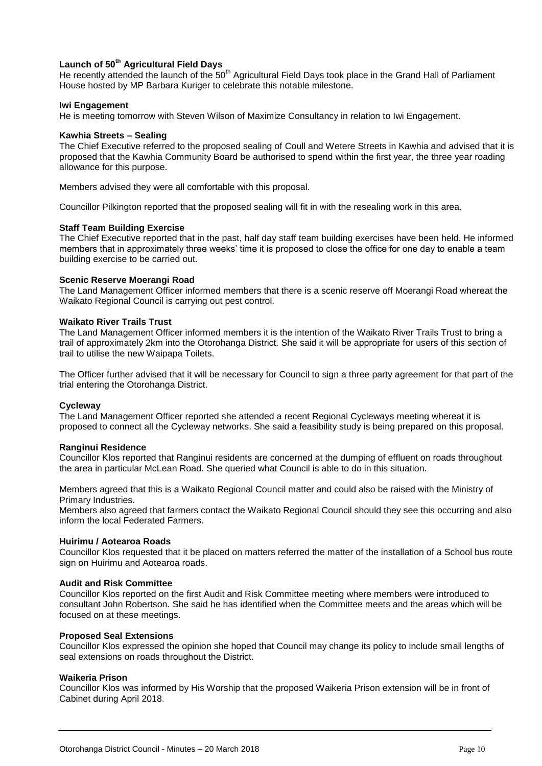#### **Launch of 50th Agricultural Field Days**

He recently attended the launch of the 50<sup>th</sup> Agricultural Field Days took place in the Grand Hall of Parliament House hosted by MP Barbara Kuriger to celebrate this notable milestone.

#### **Iwi Engagement**

He is meeting tomorrow with Steven Wilson of Maximize Consultancy in relation to Iwi Engagement.

#### **Kawhia Streets – Sealing**

The Chief Executive referred to the proposed sealing of Coull and Wetere Streets in Kawhia and advised that it is proposed that the Kawhia Community Board be authorised to spend within the first year, the three year roading allowance for this purpose.

Members advised they were all comfortable with this proposal.

Councillor Pilkington reported that the proposed sealing will fit in with the resealing work in this area.

#### **Staff Team Building Exercise**

The Chief Executive reported that in the past, half day staff team building exercises have been held. He informed members that in approximately three weeks' time it is proposed to close the office for one day to enable a team building exercise to be carried out.

#### **Scenic Reserve Moerangi Road**

The Land Management Officer informed members that there is a scenic reserve off Moerangi Road whereat the Waikato Regional Council is carrying out pest control.

#### **Waikato River Trails Trust**

The Land Management Officer informed members it is the intention of the Waikato River Trails Trust to bring a trail of approximately 2km into the Otorohanga District. She said it will be appropriate for users of this section of trail to utilise the new Waipapa Toilets.

The Officer further advised that it will be necessary for Council to sign a three party agreement for that part of the trial entering the Otorohanga District.

#### **Cycleway**

The Land Management Officer reported she attended a recent Regional Cycleways meeting whereat it is proposed to connect all the Cycleway networks. She said a feasibility study is being prepared on this proposal.

#### **Ranginui Residence**

Councillor Klos reported that Ranginui residents are concerned at the dumping of effluent on roads throughout the area in particular McLean Road. She queried what Council is able to do in this situation.

Members agreed that this is a Waikato Regional Council matter and could also be raised with the Ministry of Primary Industries.

Members also agreed that farmers contact the Waikato Regional Council should they see this occurring and also inform the local Federated Farmers.

#### **Huirimu / Aotearoa Roads**

Councillor Klos requested that it be placed on matters referred the matter of the installation of a School bus route sign on Huirimu and Aotearoa roads.

#### **Audit and Risk Committee**

Councillor Klos reported on the first Audit and Risk Committee meeting where members were introduced to consultant John Robertson. She said he has identified when the Committee meets and the areas which will be focused on at these meetings.

#### **Proposed Seal Extensions**

Councillor Klos expressed the opinion she hoped that Council may change its policy to include small lengths of seal extensions on roads throughout the District.

#### **Waikeria Prison**

Councillor Klos was informed by His Worship that the proposed Waikeria Prison extension will be in front of Cabinet during April 2018.